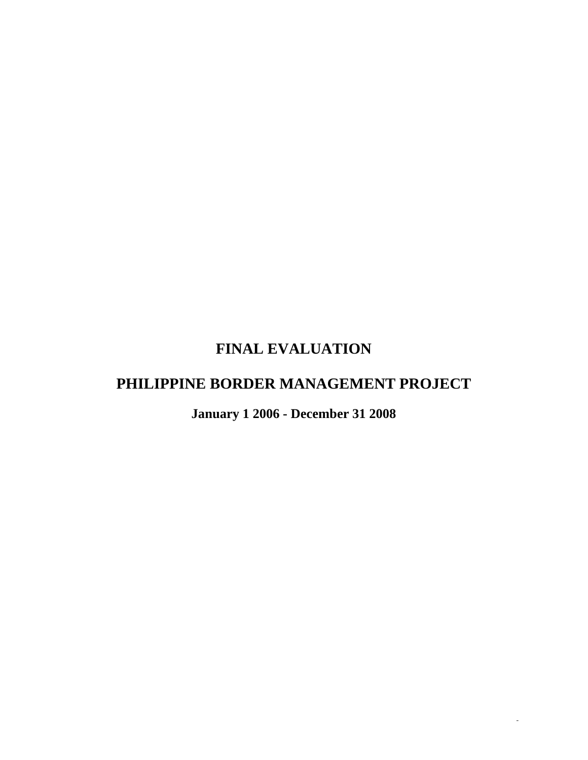# **FINAL EVALUATION**

# **PHILIPPINE BORDER MANAGEMENT PROJECT**

**January 1 2006 - December 31 2008** 

*-*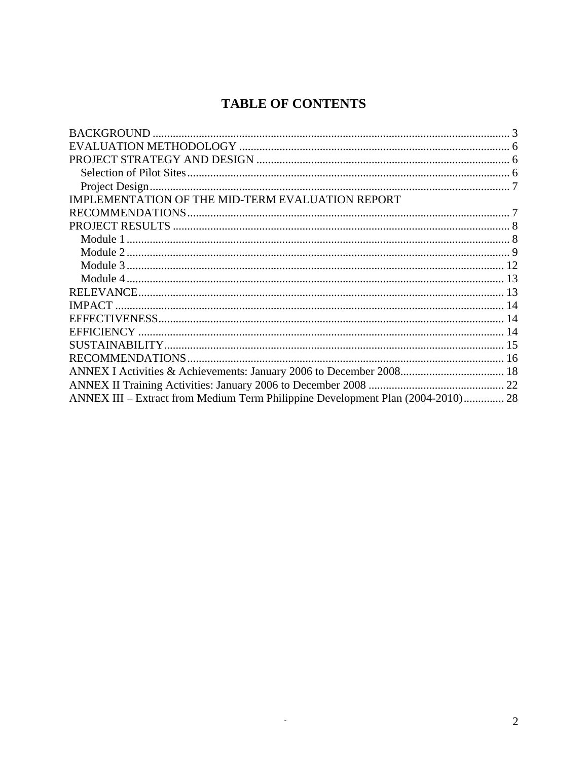## **TABLE OF CONTENTS**

| IMPLEMENTATION OF THE MID-TERM EVALUATION REPORT                                |  |
|---------------------------------------------------------------------------------|--|
|                                                                                 |  |
|                                                                                 |  |
|                                                                                 |  |
|                                                                                 |  |
|                                                                                 |  |
|                                                                                 |  |
|                                                                                 |  |
|                                                                                 |  |
|                                                                                 |  |
|                                                                                 |  |
|                                                                                 |  |
|                                                                                 |  |
|                                                                                 |  |
|                                                                                 |  |
| ANNEX III – Extract from Medium Term Philippine Development Plan (2004-2010) 28 |  |

 $\mathbb{Z}^2$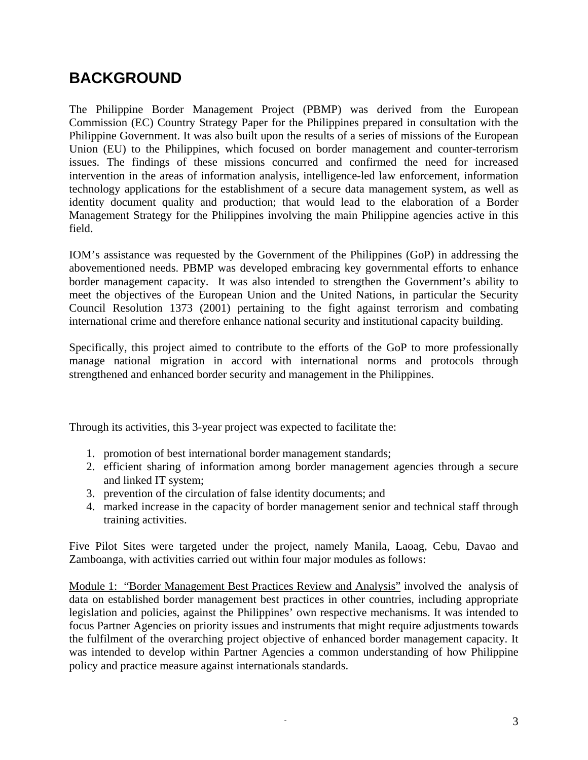# <span id="page-2-0"></span>**BACKGROUND**

The Philippine Border Management Project (PBMP) was derived from the European Commission (EC) Country Strategy Paper for the Philippines prepared in consultation with the Philippine Government. It was also built upon the results of a series of missions of the European Union (EU) to the Philippines, which focused on border management and counter-terrorism issues. The findings of these missions concurred and confirmed the need for increased intervention in the areas of information analysis, intelligence-led law enforcement, information technology applications for the establishment of a secure data management system, as well as identity document quality and production; that would lead to the elaboration of a Border Management Strategy for the Philippines involving the main Philippine agencies active in this field.

IOM's assistance was requested by the Government of the Philippines (GoP) in addressing the abovementioned needs. PBMP was developed embracing key governmental efforts to enhance border management capacity. It was also intended to strengthen the Government's ability to meet the objectives of the European Union and the United Nations, in particular the Security Council Resolution 1373 (2001) pertaining to the fight against terrorism and combating international crime and therefore enhance national security and institutional capacity building.

Specifically, this project aimed to contribute to the efforts of the GoP to more professionally manage national migration in accord with international norms and protocols through strengthened and enhanced border security and management in the Philippines.

Through its activities, this 3-year project was expected to facilitate the:

- 1. promotion of best international border management standards;
- 2. efficient sharing of information among border management agencies through a secure and linked IT system;
- 3. prevention of the circulation of false identity documents; and
- 4. marked increase in the capacity of border management senior and technical staff through training activities.

Five Pilot Sites were targeted under the project, namely Manila, Laoag, Cebu, Davao and Zamboanga, with activities carried out within four major modules as follows:

Module 1: "Border Management Best Practices Review and Analysis" involved the analysis of data on established border management best practices in other countries, including appropriate legislation and policies, against the Philippines' own respective mechanisms. It was intended to focus Partner Agencies on priority issues and instruments that might require adjustments towards the fulfilment of the overarching project objective of enhanced border management capacity. It was intended to develop within Partner Agencies a common understanding of how Philippine policy and practice measure against internationals standards.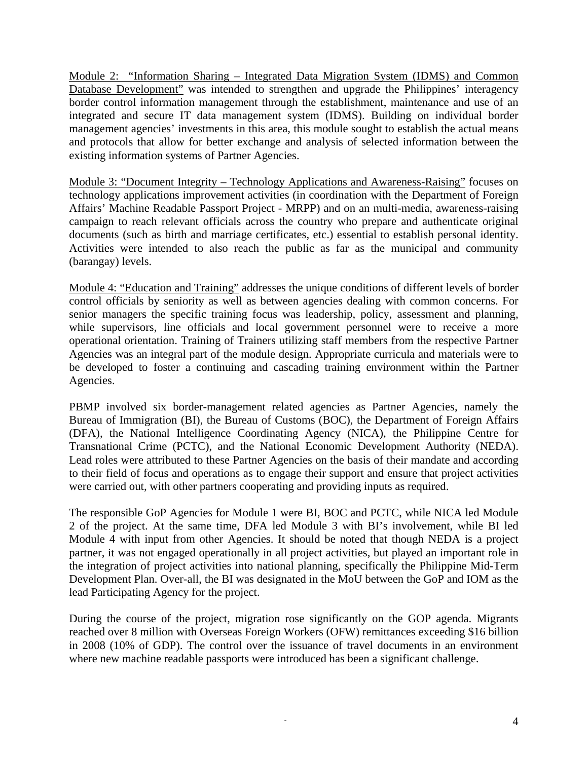Module 2: "Information Sharing – Integrated Data Migration System (IDMS) and Common Database Development" was intended to strengthen and upgrade the Philippines' interagency border control information management through the establishment, maintenance and use of an integrated and secure IT data management system (IDMS). Building on individual border management agencies' investments in this area, this module sought to establish the actual means and protocols that allow for better exchange and analysis of selected information between the existing information systems of Partner Agencies.

Module 3: "Document Integrity – Technology Applications and Awareness-Raising" focuses on technology applications improvement activities (in coordination with the Department of Foreign Affairs' Machine Readable Passport Project - MRPP) and on an multi-media, awareness-raising campaign to reach relevant officials across the country who prepare and authenticate original documents (such as birth and marriage certificates, etc.) essential to establish personal identity. Activities were intended to also reach the public as far as the municipal and community (barangay) levels.

Module 4: "Education and Training" addresses the unique conditions of different levels of border control officials by seniority as well as between agencies dealing with common concerns. For senior managers the specific training focus was leadership, policy, assessment and planning, while supervisors, line officials and local government personnel were to receive a more operational orientation. Training of Trainers utilizing staff members from the respective Partner Agencies was an integral part of the module design. Appropriate curricula and materials were to be developed to foster a continuing and cascading training environment within the Partner Agencies.

PBMP involved six border-management related agencies as Partner Agencies, namely the Bureau of Immigration (BI), the Bureau of Customs (BOC), the Department of Foreign Affairs (DFA), the National Intelligence Coordinating Agency (NICA), the Philippine Centre for Transnational Crime (PCTC), and the National Economic Development Authority (NEDA). Lead roles were attributed to these Partner Agencies on the basis of their mandate and according to their field of focus and operations as to engage their support and ensure that project activities were carried out, with other partners cooperating and providing inputs as required.

The responsible GoP Agencies for Module 1 were BI, BOC and PCTC, while NICA led Module 2 of the project. At the same time, DFA led Module 3 with BI's involvement, while BI led Module 4 with input from other Agencies. It should be noted that though NEDA is a project partner, it was not engaged operationally in all project activities, but played an important role in the integration of project activities into national planning, specifically the Philippine Mid-Term Development Plan. Over-all, the BI was designated in the MoU between the GoP and IOM as the lead Participating Agency for the project.

During the course of the project, migration rose significantly on the GOP agenda. Migrants reached over 8 million with Overseas Foreign Workers (OFW) remittances exceeding \$16 billion in 2008 (10% of GDP). The control over the issuance of travel documents in an environment where new machine readable passports were introduced has been a significant challenge.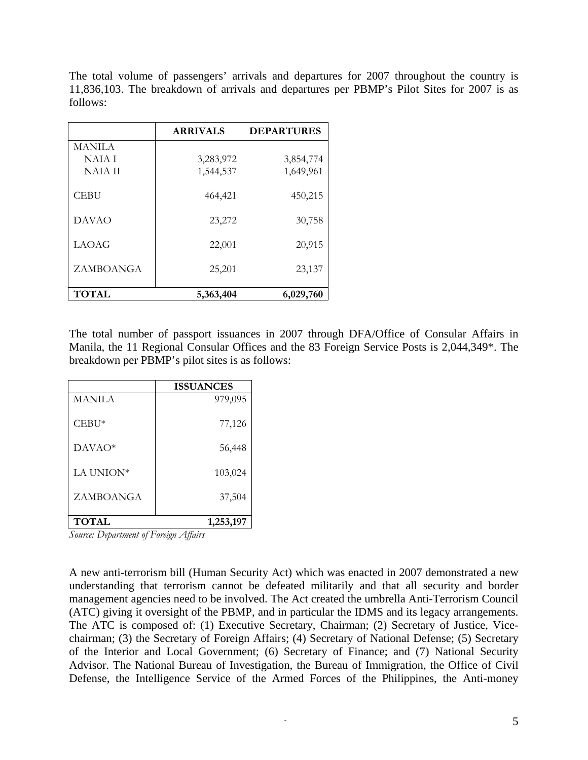The total volume of passengers' arrivals and departures for 2007 throughout the country is 11,836,103. The breakdown of arrivals and departures per PBMP's Pilot Sites for 2007 is as follows:

|                  | <b>ARRIVALS</b> | <b>DEPARTURES</b> |
|------------------|-----------------|-------------------|
| MANILA           |                 |                   |
| NAIA I           | 3,283,972       | 3,854,774         |
| <b>NAIA II</b>   | 1,544,537       | 1,649,961         |
| <b>CEBU</b>      | 464,421         | 450,215           |
| <b>DAVAO</b>     | 23,272          | 30,758            |
| <b>LAOAG</b>     | 22,001          | 20,915            |
| <b>ZAMBOANGA</b> | 25,201          | 23,137            |
| <b>TOTAL</b>     | 5,363,404       | 6,029,760         |

The total number of passport issuances in 2007 through DFA/Office of Consular Affairs in Manila, the 11 Regional Consular Offices and the 83 Foreign Service Posts is 2,044,349\*. The breakdown per PBMP's pilot sites is as follows:

|               | <b>ISSUANCES</b> |
|---------------|------------------|
| <b>MANILA</b> | 979,095          |
| $CEBU*$       | 77,126           |
| $DAVAO*$      | 56,448           |
| LA UNION*     | 103,024          |
| ZAMBOANGA     | 37,504           |
| <b>TOTAL</b>  | 1,253,197        |

*Source: Department of Foreign Affairs* 

A new anti-terrorism bill (Human Security Act) which was enacted in 2007 demonstrated a new understanding that terrorism cannot be defeated militarily and that all security and border management agencies need to be involved. The Act created the umbrella Anti-Terrorism Council (ATC) giving it oversight of the PBMP, and in particular the IDMS and its legacy arrangements. The ATC is composed of: (1) Executive Secretary, Chairman; (2) Secretary of Justice, Vicechairman; (3) the Secretary of Foreign Affairs; (4) Secretary of National Defense; (5) Secretary of the Interior and Local Government; (6) Secretary of Finance; and (7) National Security Advisor. The National Bureau of Investigation, the Bureau of Immigration, the Office of Civil Defense, the Intelligence Service of the Armed Forces of the Philippines, the Anti-money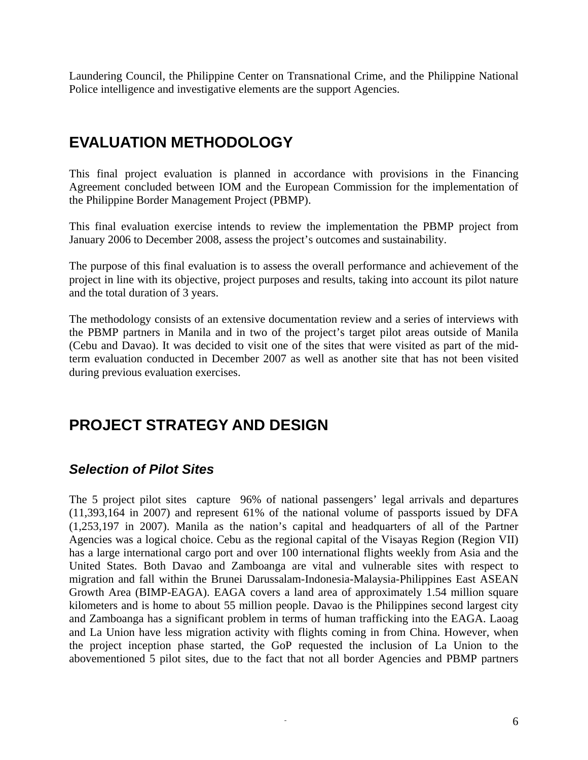<span id="page-5-0"></span>Laundering Council, the Philippine Center on Transnational Crime, and the Philippine National Police intelligence and investigative elements are the support Agencies.

## **EVALUATION METHODOLOGY**

This final project evaluation is planned in accordance with provisions in the Financing Agreement concluded between IOM and the European Commission for the implementation of the Philippine Border Management Project (PBMP).

This final evaluation exercise intends to review the implementation the PBMP project from January 2006 to December 2008, assess the project's outcomes and sustainability.

The purpose of this final evaluation is to assess the overall performance and achievement of the project in line with its objective, project purposes and results, taking into account its pilot nature and the total duration of 3 years.

The methodology consists of an extensive documentation review and a series of interviews with the PBMP partners in Manila and in two of the project's target pilot areas outside of Manila (Cebu and Davao). It was decided to visit one of the sites that were visited as part of the midterm evaluation conducted in December 2007 as well as another site that has not been visited during previous evaluation exercises.

## **PROJECT STRATEGY AND DESIGN**

### *Selection of Pilot Sites*

The 5 project pilot sites capture 96% of national passengers' legal arrivals and departures (11,393,164 in 2007) and represent 61% of the national volume of passports issued by DFA (1,253,197 in 2007). Manila as the nation's capital and headquarters of all of the Partner Agencies was a logical choice. Cebu as the regional capital of the Visayas Region (Region VII) has a large international cargo port and over 100 international flights weekly from Asia and the United States. Both Davao and Zamboanga are vital and vulnerable sites with respect to migration and fall within the Brunei Darussalam-Indonesia-Malaysia-Philippines East ASEAN Growth Area (BIMP-EAGA). EAGA covers a land area of approximately 1.54 million square kilometers and is home to about 55 million people. Davao is the Philippines second largest city and Zamboanga has a significant problem in terms of human trafficking into the EAGA. Laoag and La Union have less migration activity with flights coming in from China. However, when the project inception phase started, the GoP requested the inclusion of La Union to the abovementioned 5 pilot sites, due to the fact that not all border Agencies and PBMP partners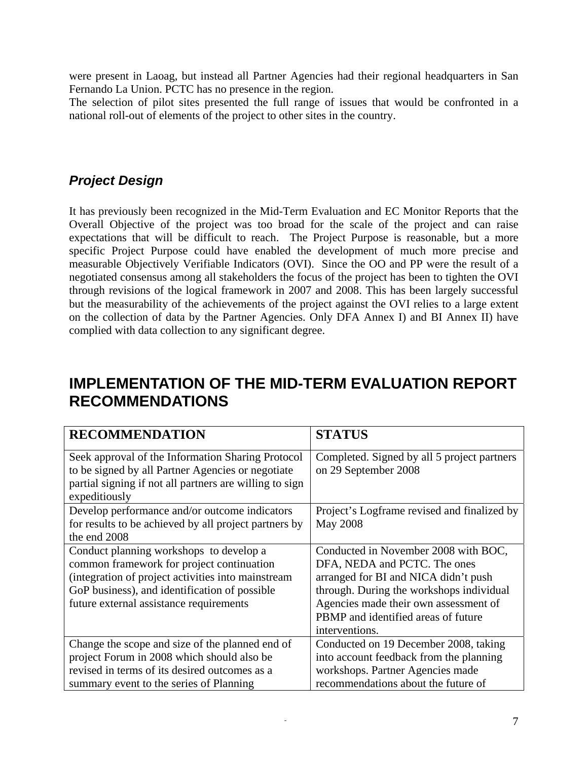<span id="page-6-0"></span>were present in Laoag, but instead all Partner Agencies had their regional headquarters in San Fernando La Union. PCTC has no presence in the region.

The selection of pilot sites presented the full range of issues that would be confronted in a national roll-out of elements of the project to other sites in the country.

### *Project Design*

It has previously been recognized in the Mid-Term Evaluation and EC Monitor Reports that the Overall Objective of the project was too broad for the scale of the project and can raise expectations that will be difficult to reach. The Project Purpose is reasonable, but a more specific Project Purpose could have enabled the development of much more precise and measurable Objectively Verifiable Indicators (OVI). Since the OO and PP were the result of a negotiated consensus among all stakeholders the focus of the project has been to tighten the OVI through revisions of the logical framework in 2007 and 2008. This has been largely successful but the measurability of the achievements of the project against the OVI relies to a large extent on the collection of data by the Partner Agencies. Only DFA Annex I) and BI Annex II) have complied with data collection to any significant degree.

## **IMPLEMENTATION OF THE MID-TERM EVALUATION REPORT RECOMMENDATIONS**

| <b>RECOMMENDATION</b>                                   | <b>STATUS</b>                               |
|---------------------------------------------------------|---------------------------------------------|
| Seek approval of the Information Sharing Protocol       | Completed. Signed by all 5 project partners |
| to be signed by all Partner Agencies or negotiate       | on 29 September 2008                        |
| partial signing if not all partners are willing to sign |                                             |
| expeditiously                                           |                                             |
| Develop performance and/or outcome indicators           | Project's Logframe revised and finalized by |
| for results to be achieved by all project partners by   | <b>May 2008</b>                             |
| the end 2008                                            |                                             |
| Conduct planning workshops to develop a                 | Conducted in November 2008 with BOC,        |
| common framework for project continuation               | DFA, NEDA and PCTC. The ones                |
| (integration of project activities into mainstream      | arranged for BI and NICA didn't push        |
| GoP business), and identification of possible           | through. During the workshops individual    |
| future external assistance requirements                 | Agencies made their own assessment of       |
|                                                         | PBMP and identified areas of future         |
|                                                         | interventions.                              |
| Change the scope and size of the planned end of         | Conducted on 19 December 2008, taking       |
| project Forum in 2008 which should also be              | into account feedback from the planning     |
| revised in terms of its desired outcomes as a           | workshops. Partner Agencies made            |
| summary event to the series of Planning                 | recommendations about the future of         |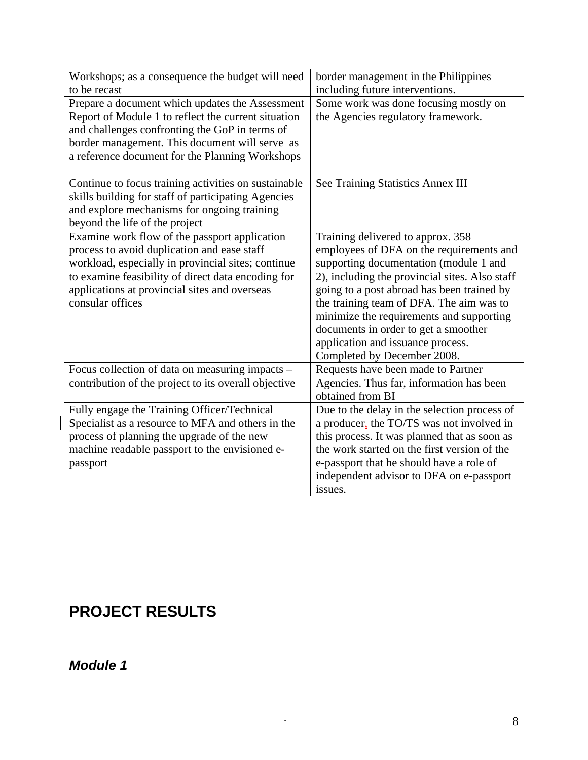<span id="page-7-0"></span>

| Workshops; as a consequence the budget will need     | border management in the Philippines           |
|------------------------------------------------------|------------------------------------------------|
| to be recast                                         | including future interventions.                |
| Prepare a document which updates the Assessment      | Some work was done focusing mostly on          |
| Report of Module 1 to reflect the current situation  | the Agencies regulatory framework.             |
| and challenges confronting the GoP in terms of       |                                                |
| border management. This document will serve as       |                                                |
| a reference document for the Planning Workshops      |                                                |
| Continue to focus training activities on sustainable | See Training Statistics Annex III              |
| skills building for staff of participating Agencies  |                                                |
| and explore mechanisms for ongoing training          |                                                |
| beyond the life of the project                       |                                                |
| Examine work flow of the passport application        | Training delivered to approx. 358              |
| process to avoid duplication and ease staff          | employees of DFA on the requirements and       |
| workload, especially in provincial sites; continue   | supporting documentation (module 1 and         |
| to examine feasibility of direct data encoding for   | 2), including the provincial sites. Also staff |
| applications at provincial sites and overseas        | going to a post abroad has been trained by     |
| consular offices                                     | the training team of DFA. The aim was to       |
|                                                      | minimize the requirements and supporting       |
|                                                      | documents in order to get a smoother           |
|                                                      | application and issuance process.              |
|                                                      | Completed by December 2008.                    |
| Focus collection of data on measuring impacts –      | Requests have been made to Partner             |
| contribution of the project to its overall objective | Agencies. Thus far, information has been       |
|                                                      | obtained from BI                               |
| Fully engage the Training Officer/Technical          | Due to the delay in the selection process of   |
| Specialist as a resource to MFA and others in the    | a producer, the TO/TS was not involved in      |
| process of planning the upgrade of the new           | this process. It was planned that as soon as   |
| machine readable passport to the envisioned e-       | the work started on the first version of the   |
| passport                                             | e-passport that he should have a role of       |
|                                                      | independent advisor to DFA on e-passport       |
|                                                      | issues.                                        |

# **PROJECT RESULTS**

### *Module 1*

 $\overline{\phantom{a}}$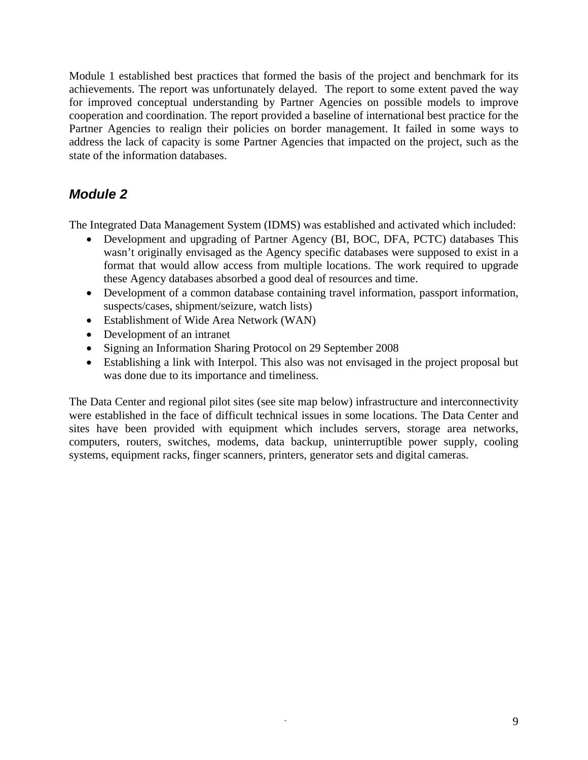<span id="page-8-0"></span>Module 1 established best practices that formed the basis of the project and benchmark for its achievements. The report was unfortunately delayed. The report to some extent paved the way for improved conceptual understanding by Partner Agencies on possible models to improve cooperation and coordination. The report provided a baseline of international best practice for the Partner Agencies to realign their policies on border management. It failed in some ways to address the lack of capacity is some Partner Agencies that impacted on the project, such as the state of the information databases.

### *Module 2*

The Integrated Data Management System (IDMS) was established and activated which included:

- Development and upgrading of Partner Agency (BI, BOC, DFA, PCTC) databases This wasn't originally envisaged as the Agency specific databases were supposed to exist in a format that would allow access from multiple locations. The work required to upgrade these Agency databases absorbed a good deal of resources and time.
- Development of a common database containing travel information, passport information, suspects/cases, shipment/seizure, watch lists)
- Establishment of Wide Area Network (WAN)
- Development of an intranet
- Signing an Information Sharing Protocol on 29 September 2008
- Establishing a link with Interpol. This also was not envisaged in the project proposal but was done due to its importance and timeliness.

The Data Center and regional pilot sites (see site map below) infrastructure and interconnectivity were established in the face of difficult technical issues in some locations. The Data Center and sites have been provided with equipment which includes servers, storage area networks, computers, routers, switches, modems, data backup, uninterruptible power supply, cooling systems, equipment racks, finger scanners, printers, generator sets and digital cameras.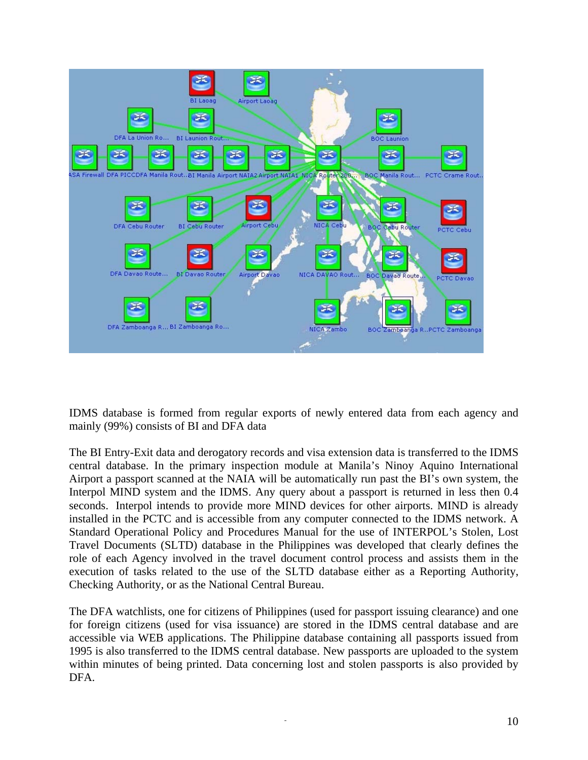

IDMS database is formed from regular exports of newly entered data from each agency and mainly (99%) consists of BI and DFA data

The BI Entry-Exit data and derogatory records and visa extension data is transferred to the IDMS central database. In the primary inspection module at Manila's Ninoy Aquino International Airport a passport scanned at the NAIA will be automatically run past the BI's own system, the Interpol MIND system and the IDMS. Any query about a passport is returned in less then 0.4 seconds. Interpol intends to provide more MIND devices for other airports. MIND is already installed in the PCTC and is accessible from any computer connected to the IDMS network. A Standard Operational Policy and Procedures Manual for the use of INTERPOL's Stolen, Lost Travel Documents (SLTD) database in the Philippines was developed that clearly defines the role of each Agency involved in the travel document control process and assists them in the execution of tasks related to the use of the SLTD database either as a Reporting Authority, Checking Authority, or as the National Central Bureau.

The DFA watchlists, one for citizens of Philippines (used for passport issuing clearance) and one for foreign citizens (used for visa issuance) are stored in the IDMS central database and are accessible via WEB applications. The Philippine database containing all passports issued from 1995 is also transferred to the IDMS central database. New passports are uploaded to the system within minutes of being printed. Data concerning lost and stolen passports is also provided by DFA.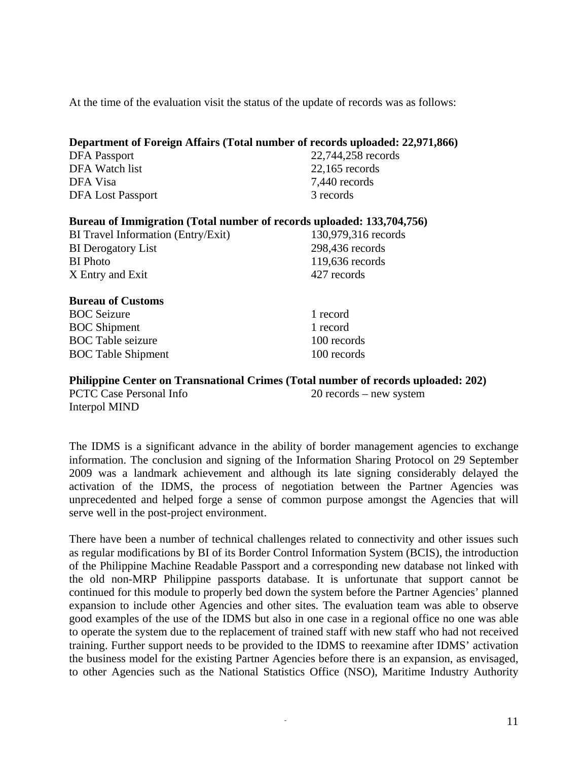At the time of the evaluation visit the status of the update of records was as follows:

| Department of Foreign Affairs (Total number of records uploaded: 22,971,866)      |                     |
|-----------------------------------------------------------------------------------|---------------------|
| <b>DFA</b> Passport                                                               | 22,744,258 records  |
| DFA Watch list                                                                    | $22,165$ records    |
| DFA Visa                                                                          | 7,440 records       |
| <b>DFA Lost Passport</b>                                                          | 3 records           |
| Bureau of Immigration (Total number of records uploaded: 133,704,756)             |                     |
| <b>BI</b> Travel Information (Entry/Exit)                                         | 130,979,316 records |
| <b>BI</b> Derogatory List                                                         | 298,436 records     |
| <b>BI</b> Photo                                                                   | 119,636 records     |
| X Entry and Exit                                                                  | 427 records         |
| <b>Bureau of Customs</b>                                                          |                     |
| <b>BOC</b> Seizure                                                                | 1 record            |
| <b>BOC</b> Shipment                                                               | 1 record            |
| <b>BOC</b> Table seizure                                                          | 100 records         |
| <b>BOC</b> Table Shipment                                                         | 100 records         |
| Philippine Center on Transnational Crimes (Total number of records uploaded: 202) |                     |

Interpol MIND

PCTC Case Personal Info 20 records – new system

The IDMS is a significant advance in the ability of border management agencies to exchange information. The conclusion and signing of the Information Sharing Protocol on 29 September 2009 was a landmark achievement and although its late signing considerably delayed the activation of the IDMS, the process of negotiation between the Partner Agencies was unprecedented and helped forge a sense of common purpose amongst the Agencies that will serve well in the post-project environment.

There have been a number of technical challenges related to connectivity and other issues such as regular modifications by BI of its Border Control Information System (BCIS), the introduction of the Philippine Machine Readable Passport and a corresponding new database not linked with the old non-MRP Philippine passports database. It is unfortunate that support cannot be continued for this module to properly bed down the system before the Partner Agencies' planned expansion to include other Agencies and other sites. The evaluation team was able to observe good examples of the use of the IDMS but also in one case in a regional office no one was able to operate the system due to the replacement of trained staff with new staff who had not received training. Further support needs to be provided to the IDMS to reexamine after IDMS' activation the business model for the existing Partner Agencies before there is an expansion, as envisaged, to other Agencies such as the National Statistics Office (NSO), Maritime Industry Authority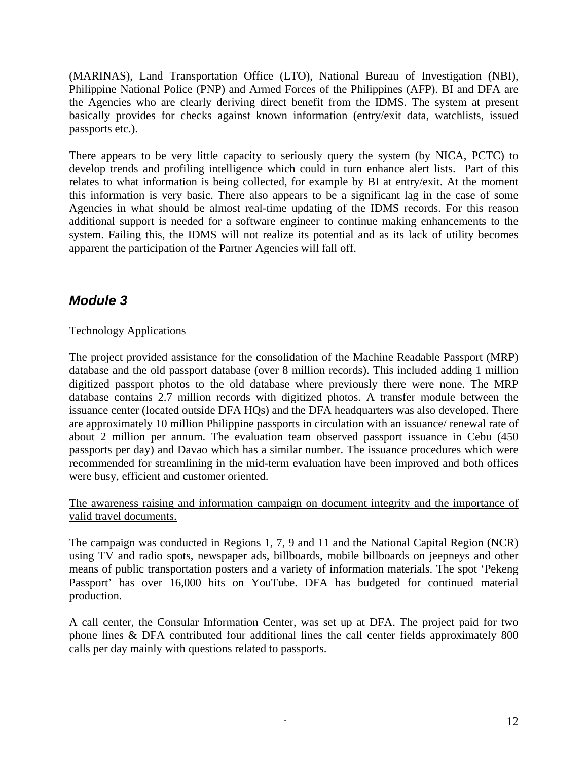<span id="page-11-0"></span>(MARINAS), Land Transportation Office (LTO), National Bureau of Investigation (NBI), Philippine National Police (PNP) and Armed Forces of the Philippines (AFP). BI and DFA are the Agencies who are clearly deriving direct benefit from the IDMS. The system at present basically provides for checks against known information (entry/exit data, watchlists, issued passports etc.).

There appears to be very little capacity to seriously query the system (by NICA, PCTC) to develop trends and profiling intelligence which could in turn enhance alert lists. Part of this relates to what information is being collected, for example by BI at entry/exit. At the moment this information is very basic. There also appears to be a significant lag in the case of some Agencies in what should be almost real-time updating of the IDMS records. For this reason additional support is needed for a software engineer to continue making enhancements to the system. Failing this, the IDMS will not realize its potential and as its lack of utility becomes apparent the participation of the Partner Agencies will fall off.

### *Module 3*

#### Technology Applications

The project provided assistance for the consolidation of the Machine Readable Passport (MRP) database and the old passport database (over 8 million records). This included adding 1 million digitized passport photos to the old database where previously there were none. The MRP database contains 2.7 million records with digitized photos. A transfer module between the issuance center (located outside DFA HQs) and the DFA headquarters was also developed. There are approximately 10 million Philippine passports in circulation with an issuance/ renewal rate of about 2 million per annum. The evaluation team observed passport issuance in Cebu (450 passports per day) and Davao which has a similar number. The issuance procedures which were recommended for streamlining in the mid-term evaluation have been improved and both offices were busy, efficient and customer oriented.

The awareness raising and information campaign on document integrity and the importance of valid travel documents.

The campaign was conducted in Regions 1, 7, 9 and 11 and the National Capital Region (NCR) using TV and radio spots, newspaper ads, billboards, mobile billboards on jeepneys and other means of public transportation posters and a variety of information materials. The spot 'Pekeng Passport' has over 16,000 hits on YouTube. DFA has budgeted for continued material production.

A call center, the Consular Information Center, was set up at DFA. The project paid for two phone lines & DFA contributed four additional lines the call center fields approximately 800 calls per day mainly with questions related to passports.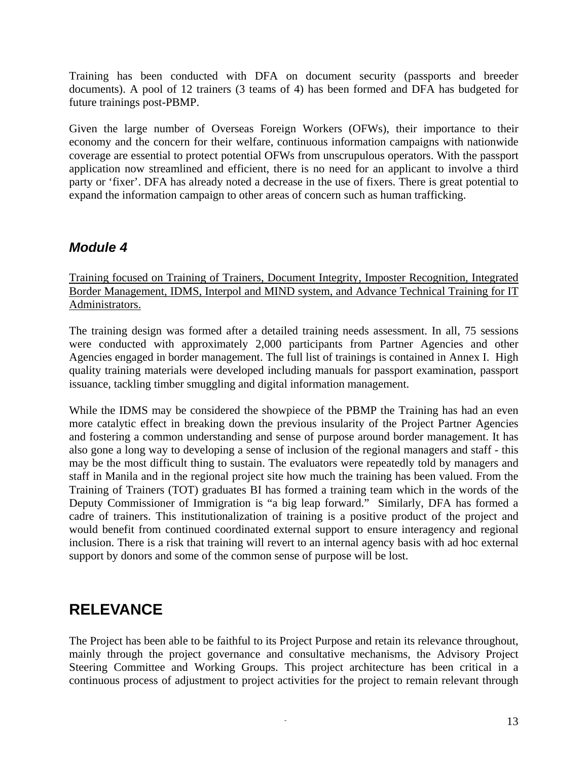<span id="page-12-0"></span>Training has been conducted with DFA on document security (passports and breeder documents). A pool of 12 trainers (3 teams of 4) has been formed and DFA has budgeted for future trainings post-PBMP.

Given the large number of Overseas Foreign Workers (OFWs), their importance to their economy and the concern for their welfare, continuous information campaigns with nationwide coverage are essential to protect potential OFWs from unscrupulous operators. With the passport application now streamlined and efficient, there is no need for an applicant to involve a third party or 'fixer'. DFA has already noted a decrease in the use of fixers. There is great potential to expand the information campaign to other areas of concern such as human trafficking.

### *Module 4*

Training focused on Training of Trainers, Document Integrity, Imposter Recognition, Integrated Border Management, IDMS, Interpol and MIND system, and Advance Technical Training for IT Administrators.

The training design was formed after a detailed training needs assessment. In all, 75 sessions were conducted with approximately 2,000 participants from Partner Agencies and other Agencies engaged in border management. The full list of trainings is contained in Annex I. High quality training materials were developed including manuals for passport examination, passport issuance, tackling timber smuggling and digital information management.

While the IDMS may be considered the showpiece of the PBMP the Training has had an even more catalytic effect in breaking down the previous insularity of the Project Partner Agencies and fostering a common understanding and sense of purpose around border management. It has also gone a long way to developing a sense of inclusion of the regional managers and staff - this may be the most difficult thing to sustain. The evaluators were repeatedly told by managers and staff in Manila and in the regional project site how much the training has been valued. From the Training of Trainers (TOT) graduates BI has formed a training team which in the words of the Deputy Commissioner of Immigration is "a big leap forward." Similarly, DFA has formed a cadre of trainers. This institutionalization of training is a positive product of the project and would benefit from continued coordinated external support to ensure interagency and regional inclusion. There is a risk that training will revert to an internal agency basis with ad hoc external support by donors and some of the common sense of purpose will be lost.

## **RELEVANCE**

The Project has been able to be faithful to its Project Purpose and retain its relevance throughout, mainly through the project governance and consultative mechanisms, the Advisory Project Steering Committee and Working Groups. This project architecture has been critical in a continuous process of adjustment to project activities for the project to remain relevant through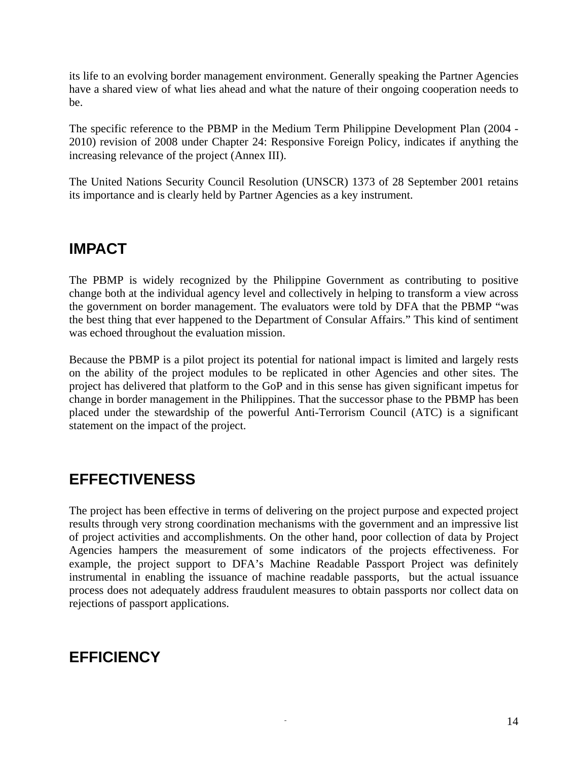<span id="page-13-0"></span>its life to an evolving border management environment. Generally speaking the Partner Agencies have a shared view of what lies ahead and what the nature of their ongoing cooperation needs to be.

The specific reference to the PBMP in the Medium Term Philippine Development Plan (2004 - 2010) revision of 2008 under Chapter 24: Responsive Foreign Policy, indicates if anything the increasing relevance of the project (Annex III).

The United Nations Security Council Resolution (UNSCR) 1373 of 28 September 2001 retains its importance and is clearly held by Partner Agencies as a key instrument.

## **IMPACT**

The PBMP is widely recognized by the Philippine Government as contributing to positive change both at the individual agency level and collectively in helping to transform a view across the government on border management. The evaluators were told by DFA that the PBMP "was the best thing that ever happened to the Department of Consular Affairs." This kind of sentiment was echoed throughout the evaluation mission.

Because the PBMP is a pilot project its potential for national impact is limited and largely rests on the ability of the project modules to be replicated in other Agencies and other sites. The project has delivered that platform to the GoP and in this sense has given significant impetus for change in border management in the Philippines. That the successor phase to the PBMP has been placed under the stewardship of the powerful Anti-Terrorism Council (ATC) is a significant statement on the impact of the project.

## **EFFECTIVENESS**

The project has been effective in terms of delivering on the project purpose and expected project results through very strong coordination mechanisms with the government and an impressive list of project activities and accomplishments. On the other hand, poor collection of data by Project Agencies hampers the measurement of some indicators of the projects effectiveness. For example, the project support to DFA's Machine Readable Passport Project was definitely instrumental in enabling the issuance of machine readable passports, but the actual issuance process does not adequately address fraudulent measures to obtain passports nor collect data on rejections of passport applications.

## **EFFICIENCY**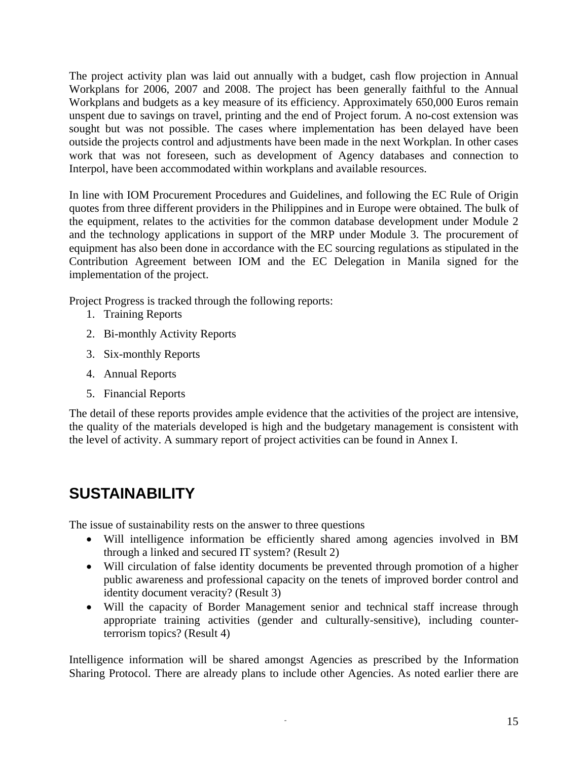<span id="page-14-0"></span>The project activity plan was laid out annually with a budget, cash flow projection in Annual Workplans for 2006, 2007 and 2008. The project has been generally faithful to the Annual Workplans and budgets as a key measure of its efficiency. Approximately 650,000 Euros remain unspent due to savings on travel, printing and the end of Project forum. A no-cost extension was sought but was not possible. The cases where implementation has been delayed have been outside the projects control and adjustments have been made in the next Workplan. In other cases work that was not foreseen, such as development of Agency databases and connection to Interpol, have been accommodated within workplans and available resources.

In line with IOM Procurement Procedures and Guidelines, and following the EC Rule of Origin quotes from three different providers in the Philippines and in Europe were obtained. The bulk of the equipment, relates to the activities for the common database development under Module 2 and the technology applications in support of the MRP under Module 3. The procurement of equipment has also been done in accordance with the EC sourcing regulations as stipulated in the Contribution Agreement between IOM and the EC Delegation in Manila signed for the implementation of the project.

Project Progress is tracked through the following reports:

- 1. Training Reports
- 2. Bi-monthly Activity Reports
- 3. Six-monthly Reports
- 4. Annual Reports
- 5. Financial Reports

The detail of these reports provides ample evidence that the activities of the project are intensive, the quality of the materials developed is high and the budgetary management is consistent with the level of activity. A summary report of project activities can be found in Annex I.

# **SUSTAINABILITY**

The issue of sustainability rests on the answer to three questions

- Will intelligence information be efficiently shared among agencies involved in BM through a linked and secured IT system? (Result 2)
- Will circulation of false identity documents be prevented through promotion of a higher public awareness and professional capacity on the tenets of improved border control and identity document veracity? (Result 3)
- Will the capacity of Border Management senior and technical staff increase through appropriate training activities (gender and culturally-sensitive), including counterterrorism topics? (Result 4)

Intelligence information will be shared amongst Agencies as prescribed by the Information Sharing Protocol. There are already plans to include other Agencies. As noted earlier there are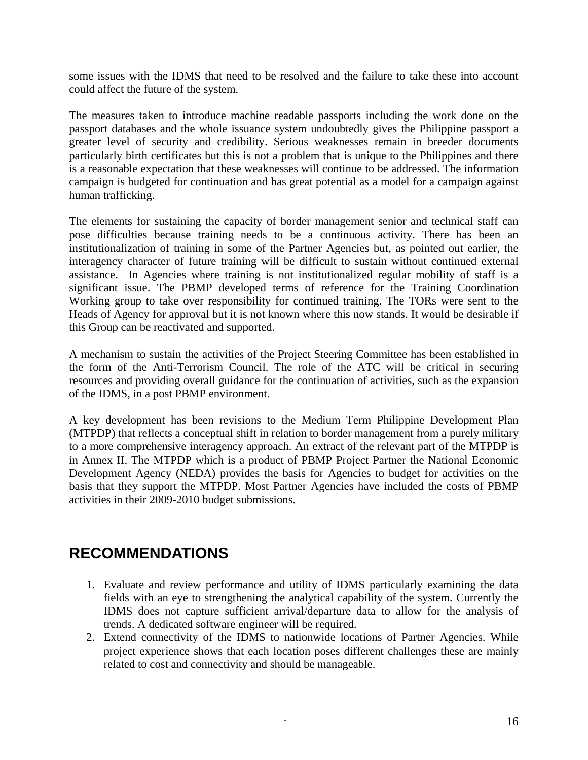<span id="page-15-0"></span>some issues with the IDMS that need to be resolved and the failure to take these into account could affect the future of the system.

The measures taken to introduce machine readable passports including the work done on the passport databases and the whole issuance system undoubtedly gives the Philippine passport a greater level of security and credibility. Serious weaknesses remain in breeder documents particularly birth certificates but this is not a problem that is unique to the Philippines and there is a reasonable expectation that these weaknesses will continue to be addressed. The information campaign is budgeted for continuation and has great potential as a model for a campaign against human trafficking.

The elements for sustaining the capacity of border management senior and technical staff can pose difficulties because training needs to be a continuous activity. There has been an institutionalization of training in some of the Partner Agencies but, as pointed out earlier, the interagency character of future training will be difficult to sustain without continued external assistance. In Agencies where training is not institutionalized regular mobility of staff is a significant issue. The PBMP developed terms of reference for the Training Coordination Working group to take over responsibility for continued training. The TORs were sent to the Heads of Agency for approval but it is not known where this now stands. It would be desirable if this Group can be reactivated and supported.

A mechanism to sustain the activities of the Project Steering Committee has been established in the form of the Anti-Terrorism Council. The role of the ATC will be critical in securing resources and providing overall guidance for the continuation of activities, such as the expansion of the IDMS, in a post PBMP environment.

A key development has been revisions to the Medium Term Philippine Development Plan (MTPDP) that reflects a conceptual shift in relation to border management from a purely military to a more comprehensive interagency approach. An extract of the relevant part of the MTPDP is in Annex II. The MTPDP which is a product of PBMP Project Partner the National Economic Development Agency (NEDA) provides the basis for Agencies to budget for activities on the basis that they support the MTPDP. Most Partner Agencies have included the costs of PBMP activities in their 2009-2010 budget submissions.

## **RECOMMENDATIONS**

- 1. Evaluate and review performance and utility of IDMS particularly examining the data fields with an eye to strengthening the analytical capability of the system. Currently the IDMS does not capture sufficient arrival/departure data to allow for the analysis of trends. A dedicated software engineer will be required.
- 2. Extend connectivity of the IDMS to nationwide locations of Partner Agencies. While project experience shows that each location poses different challenges these are mainly related to cost and connectivity and should be manageable.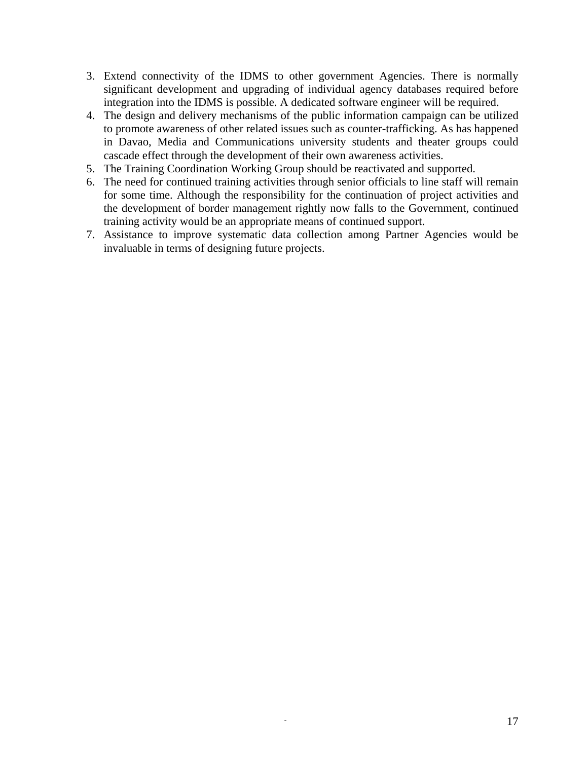- 3. Extend connectivity of the IDMS to other government Agencies. There is normally significant development and upgrading of individual agency databases required before integration into the IDMS is possible. A dedicated software engineer will be required.
- 4. The design and delivery mechanisms of the public information campaign can be utilized to promote awareness of other related issues such as counter-trafficking. As has happened in Davao, Media and Communications university students and theater groups could cascade effect through the development of their own awareness activities.
- 5. The Training Coordination Working Group should be reactivated and supported.
- 6. The need for continued training activities through senior officials to line staff will remain for some time. Although the responsibility for the continuation of project activities and the development of border management rightly now falls to the Government, continued training activity would be an appropriate means of continued support.
- 7. Assistance to improve systematic data collection among Partner Agencies would be invaluable in terms of designing future projects.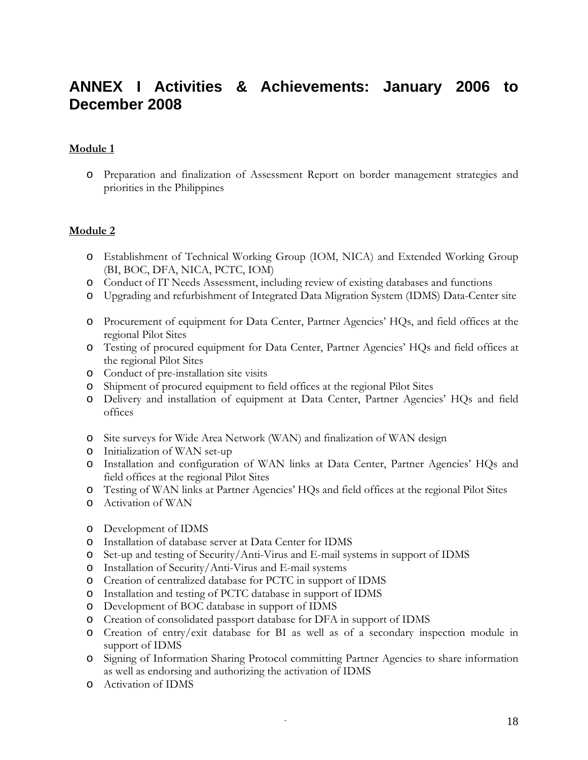## <span id="page-17-0"></span>**ANNEX I Activities & Achievements: January 2006 to December 2008**

#### **Module 1**

o Preparation and finalization of Assessment Report on border management strategies and priorities in the Philippines

#### **Module 2**

- o Establishment of Technical Working Group (IOM, NICA) and Extended Working Group (BI, BOC, DFA, NICA, PCTC, IOM)
- o Conduct of IT Needs Assessment, including review of existing databases and functions
- o Upgrading and refurbishment of Integrated Data Migration System (IDMS) Data-Center site
- o Procurement of equipment for Data Center, Partner Agencies' HQs, and field offices at the regional Pilot Sites
- o Testing of procured equipment for Data Center, Partner Agencies' HQs and field offices at the regional Pilot Sites
- o Conduct of pre-installation site visits
- o Shipment of procured equipment to field offices at the regional Pilot Sites
- o Delivery and installation of equipment at Data Center, Partner Agencies' HQs and field offices
- o Site surveys for Wide Area Network (WAN) and finalization of WAN design
- o Initialization of WAN set-up
- o Installation and configuration of WAN links at Data Center, Partner Agencies' HQs and field offices at the regional Pilot Sites
- o Testing of WAN links at Partner Agencies' HQs and field offices at the regional Pilot Sites
- o Activation of WAN
- o Development of IDMS
- o Installation of database server at Data Center for IDMS
- o Set-up and testing of Security/Anti-Virus and E-mail systems in support of IDMS
- o Installation of Security/Anti-Virus and E-mail systems
- o Creation of centralized database for PCTC in support of IDMS
- o Installation and testing of PCTC database in support of IDMS
- o Development of BOC database in support of IDMS
- o Creation of consolidated passport database for DFA in support of IDMS
- o Creation of entry/exit database for BI as well as of a secondary inspection module in support of IDMS
- o Signing of Information Sharing Protocol committing Partner Agencies to share information as well as endorsing and authorizing the activation of IDMS
- o Activation of IDMS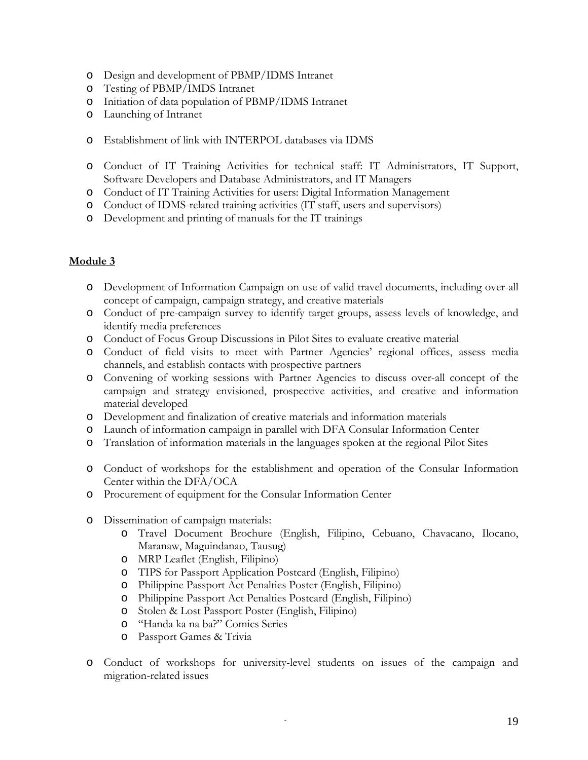- o Design and development of PBMP/IDMS Intranet
- o Testing of PBMP/IMDS Intranet
- o Initiation of data population of PBMP/IDMS Intranet
- o Launching of Intranet
- o Establishment of link with INTERPOL databases via IDMS
- o Conduct of IT Training Activities for technical staff: IT Administrators, IT Support, Software Developers and Database Administrators, and IT Managers
- o Conduct of IT Training Activities for users: Digital Information Management
- o Conduct of IDMS-related training activities (IT staff, users and supervisors)
- o Development and printing of manuals for the IT trainings

#### **Module 3**

- o Development of Information Campaign on use of valid travel documents, including over-all concept of campaign, campaign strategy, and creative materials
- o Conduct of pre-campaign survey to identify target groups, assess levels of knowledge, and identify media preferences
- o Conduct of Focus Group Discussions in Pilot Sites to evaluate creative material
- o Conduct of field visits to meet with Partner Agencies' regional offices, assess media channels, and establish contacts with prospective partners
- o Convening of working sessions with Partner Agencies to discuss over-all concept of the campaign and strategy envisioned, prospective activities, and creative and information material developed
- o Development and finalization of creative materials and information materials
- o Launch of information campaign in parallel with DFA Consular Information Center
- o Translation of information materials in the languages spoken at the regional Pilot Sites
- o Conduct of workshops for the establishment and operation of the Consular Information Center within the DFA/OCA
- o Procurement of equipment for the Consular Information Center
- o Dissemination of campaign materials:
	- o Travel Document Brochure (English, Filipino, Cebuano, Chavacano, Ilocano, Maranaw, Maguindanao, Tausug)
	- o MRP Leaflet (English, Filipino)
	- o TIPS for Passport Application Postcard (English, Filipino)
	- o Philippine Passport Act Penalties Poster (English, Filipino)
	- o Philippine Passport Act Penalties Postcard (English, Filipino)
	- o Stolen & Lost Passport Poster (English, Filipino)
	- o "Handa ka na ba?" Comics Series
	- o Passport Games & Trivia
- o Conduct of workshops for university-level students on issues of the campaign and migration-related issues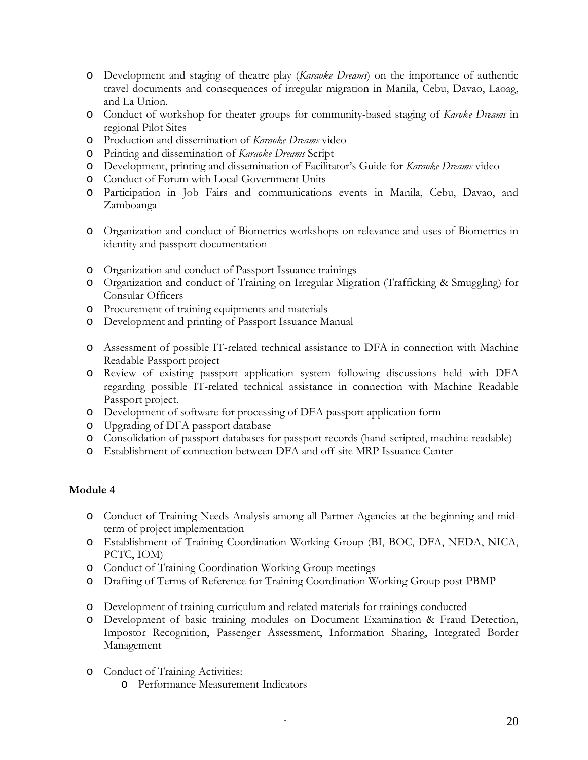- o Development and staging of theatre play (*Karaoke Dreams*) on the importance of authentic travel documents and consequences of irregular migration in Manila, Cebu, Davao, Laoag, and La Union.
- o Conduct of workshop for theater groups for community-based staging of *Karoke Dreams* in regional Pilot Sites
- o Production and dissemination of *Karaoke Dreams* video
- o Printing and dissemination of *Karaoke Dreams* Script
- o Development, printing and dissemination of Facilitator's Guide for *Karaoke Dreams* video
- o Conduct of Forum with Local Government Units
- o Participation in Job Fairs and communications events in Manila, Cebu, Davao, and Zamboanga
- o Organization and conduct of Biometrics workshops on relevance and uses of Biometrics in identity and passport documentation
- o Organization and conduct of Passport Issuance trainings
- o Organization and conduct of Training on Irregular Migration (Trafficking & Smuggling) for Consular Officers
- o Procurement of training equipments and materials
- o Development and printing of Passport Issuance Manual
- o Assessment of possible IT-related technical assistance to DFA in connection with Machine Readable Passport project
- o Review of existing passport application system following discussions held with DFA regarding possible IT-related technical assistance in connection with Machine Readable Passport project.
- o Development of software for processing of DFA passport application form
- o Upgrading of DFA passport database
- o Consolidation of passport databases for passport records (hand-scripted, machine-readable)
- o Establishment of connection between DFA and off-site MRP Issuance Center

#### **Module 4**

- o Conduct of Training Needs Analysis among all Partner Agencies at the beginning and midterm of project implementation
- o Establishment of Training Coordination Working Group (BI, BOC, DFA, NEDA, NICA, PCTC, IOM)
- o Conduct of Training Coordination Working Group meetings
- o Drafting of Terms of Reference for Training Coordination Working Group post-PBMP
- o Development of training curriculum and related materials for trainings conducted
- o Development of basic training modules on Document Examination & Fraud Detection, Impostor Recognition, Passenger Assessment, Information Sharing, Integrated Border Management
- o Conduct of Training Activities:
	- o Performance Measurement Indicators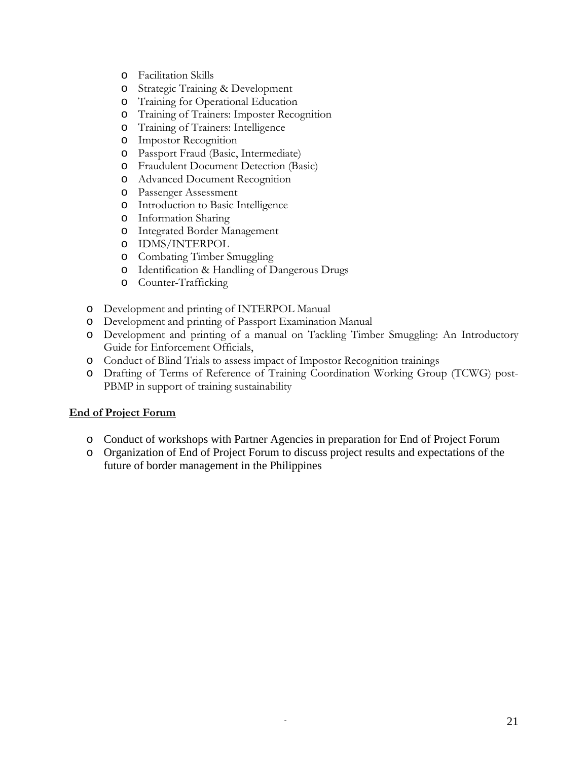- o Facilitation Skills
- o Strategic Training & Development
- o Training for Operational Education
- o Training of Trainers: Imposter Recognition
- o Training of Trainers: Intelligence
- o Impostor Recognition
- o Passport Fraud (Basic, Intermediate)
- o Fraudulent Document Detection (Basic)
- o Advanced Document Recognition
- o Passenger Assessment
- o Introduction to Basic Intelligence
- o Information Sharing
- o Integrated Border Management
- o IDMS/INTERPOL
- o Combating Timber Smuggling
- o Identification & Handling of Dangerous Drugs
- o Counter-Trafficking
- o Development and printing of INTERPOL Manual
- o Development and printing of Passport Examination Manual
- o Development and printing of a manual on Tackling Timber Smuggling: An Introductory Guide for Enforcement Officials,
- o Conduct of Blind Trials to assess impact of Impostor Recognition trainings
- o Drafting of Terms of Reference of Training Coordination Working Group (TCWG) post-PBMP in support of training sustainability

#### **End of Project Forum**

- o Conduct of workshops with Partner Agencies in preparation for End of Project Forum
- o Organization of End of Project Forum to discuss project results and expectations of the future of border management in the Philippines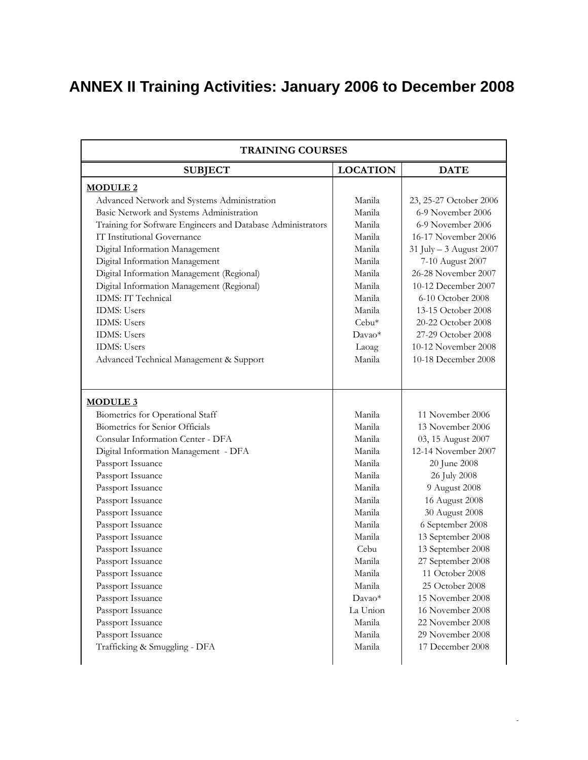# <span id="page-21-0"></span>**ANNEX II Training Activities: January 2006 to December 2008**

| <b>TRAINING COURSES</b>                                     |                 |                         |  |  |
|-------------------------------------------------------------|-----------------|-------------------------|--|--|
| <b>SUBJECT</b>                                              | <b>LOCATION</b> | <b>DATE</b>             |  |  |
| <b>MODULE 2</b>                                             |                 |                         |  |  |
| Advanced Network and Systems Administration                 | Manila          | 23, 25-27 October 2006  |  |  |
| Basic Network and Systems Administration                    | Manila          | 6-9 November 2006       |  |  |
| Training for Software Engineers and Database Administrators | Manila          | 6-9 November 2006       |  |  |
| IT Institutional Governance                                 | Manila          | 16-17 November 2006     |  |  |
| Digital Information Management                              | Manila          | 31 July - 3 August 2007 |  |  |
| Digital Information Management                              | Manila          | 7-10 August 2007        |  |  |
| Digital Information Management (Regional)                   | Manila          | 26-28 November 2007     |  |  |
| Digital Information Management (Regional)                   | Manila          | 10-12 December 2007     |  |  |
| IDMS: IT Technical                                          | Manila          | 6-10 October 2008       |  |  |
| <b>IDMS</b> : Users                                         | Manila          | 13-15 October 2008      |  |  |
| <b>IDMS</b> : Users                                         | Cebu*           | 20-22 October 2008      |  |  |
| <b>IDMS</b> : Users                                         | Davao*          | 27-29 October 2008      |  |  |
| <b>IDMS</b> : Users                                         | Laoag           | 10-12 November 2008     |  |  |
| Advanced Technical Management & Support                     | Manila          | 10-18 December 2008     |  |  |
| <b>MODULE 3</b>                                             |                 |                         |  |  |
| Biometrics for Operational Staff                            | Manila          | 11 November 2006        |  |  |
| Biometrics for Senior Officials                             | Manila          | 13 November 2006        |  |  |
| Consular Information Center - DFA                           | Manila          | 03, 15 August 2007      |  |  |
| Digital Information Management - DFA                        | Manila          | 12-14 November 2007     |  |  |
| Passport Issuance                                           | Manila          | 20 June 2008            |  |  |
| Passport Issuance                                           | Manila          | 26 July 2008            |  |  |
| Passport Issuance                                           | Manila          | 9 August 2008           |  |  |
| Passport Issuance                                           | Manila          | 16 August 2008          |  |  |
| Passport Issuance                                           | Manila          | 30 August 2008          |  |  |
| Passport Issuance                                           | Manila          | 6 September 2008        |  |  |
| Passport Issuance                                           | Manila          | 13 September 2008       |  |  |
| Passport Issuance                                           | Cebu            | 13 September 2008       |  |  |
| Passport Issuance                                           | Manila          | 27 September 2008       |  |  |
| Passport Issuance                                           | Manila          | 11 October 2008         |  |  |
| Passport Issuance                                           | Manila          | 25 October 2008         |  |  |
| Passport Issuance                                           | Davao*          | 15 November 2008        |  |  |
| Passport Issuance                                           | La Union        | 16 November 2008        |  |  |
| Passport Issuance                                           | Manila          | 22 November 2008        |  |  |
| Passport Issuance                                           | Manila          | 29 November 2008        |  |  |
| Trafficking & Smuggling - DFA                               | Manila          | 17 December 2008        |  |  |

*-*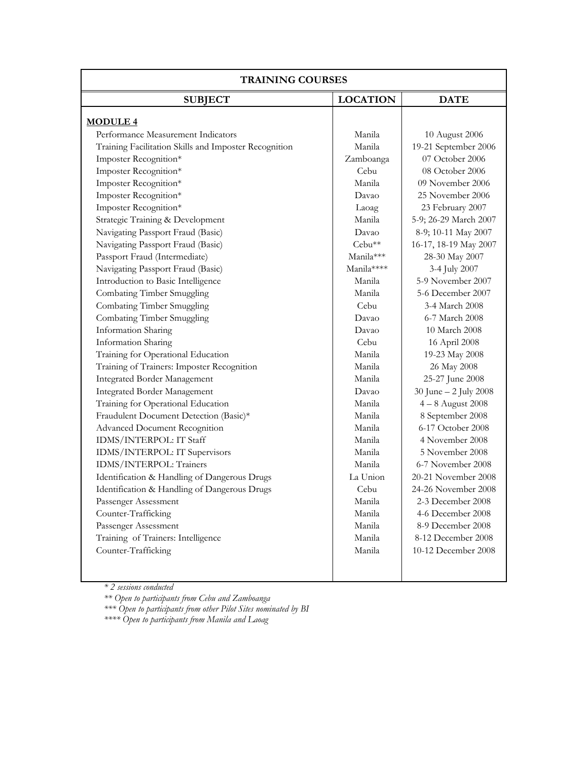| <b>TRAINING COURSES</b>                               |                 |                       |  |  |
|-------------------------------------------------------|-----------------|-----------------------|--|--|
| <b>SUBJECT</b>                                        | <b>LOCATION</b> | <b>DATE</b>           |  |  |
| <b>MODULE 4</b>                                       |                 |                       |  |  |
| Performance Measurement Indicators                    | Manila          | 10 August 2006        |  |  |
| Training Facilitation Skills and Imposter Recognition | Manila          | 19-21 September 2006  |  |  |
| Imposter Recognition*                                 | Zamboanga       | 07 October 2006       |  |  |
| Imposter Recognition*                                 | Cebu            | 08 October 2006       |  |  |
| Imposter Recognition*                                 | Manila          | 09 November 2006      |  |  |
| Imposter Recognition*                                 | Davao           | 25 November 2006      |  |  |
| Imposter Recognition*                                 | Laoag           | 23 February 2007      |  |  |
| Strategic Training & Development                      | Manila          | 5-9; 26-29 March 2007 |  |  |
| Navigating Passport Fraud (Basic)                     | Davao           | 8-9; 10-11 May 2007   |  |  |
| Navigating Passport Fraud (Basic)                     | Cebu**          | 16-17, 18-19 May 2007 |  |  |
| Passport Fraud (Intermediate)                         | Manila***       | 28-30 May 2007        |  |  |
| Navigating Passport Fraud (Basic)                     | Manila****      | 3-4 July 2007         |  |  |
| Introduction to Basic Intelligence                    | Manila          | 5-9 November 2007     |  |  |
| Combating Timber Smuggling                            | Manila          | 5-6 December 2007     |  |  |
| Combating Timber Smuggling                            | Cebu            | 3-4 March 2008        |  |  |
| <b>Combating Timber Smuggling</b>                     | Davao           | 6-7 March 2008        |  |  |
| Information Sharing                                   | Davao           | 10 March 2008         |  |  |
| <b>Information Sharing</b>                            | Cebu            | 16 April 2008         |  |  |
| Training for Operational Education                    | Manila          | 19-23 May 2008        |  |  |
| Training of Trainers: Imposter Recognition            | Manila          | 26 May 2008           |  |  |
| <b>Integrated Border Management</b>                   | Manila          | 25-27 June 2008       |  |  |
| <b>Integrated Border Management</b>                   | Davao           | 30 June - 2 July 2008 |  |  |
| Training for Operational Education                    | Manila          | $4-8$ August 2008     |  |  |
| Fraudulent Document Detection (Basic)*                | Manila          | 8 September 2008      |  |  |
| <b>Advanced Document Recognition</b>                  | Manila          | 6-17 October 2008     |  |  |
| IDMS/INTERPOL: IT Staff                               | Manila          | 4 November 2008       |  |  |
| IDMS/INTERPOL: IT Supervisors                         | Manila          | 5 November 2008       |  |  |
| <b>IDMS/INTERPOL: Trainers</b>                        | Manila          | 6-7 November 2008     |  |  |
| Identification & Handling of Dangerous Drugs          | La Union        | 20-21 November 2008   |  |  |
| Identification & Handling of Dangerous Drugs          | Cebu            | 24-26 November 2008   |  |  |
| Passenger Assessment                                  | Manila          | 2-3 December 2008     |  |  |
| Counter-Trafficking                                   | Manila          | 4-6 December 2008     |  |  |
| Passenger Assessment                                  | Manila          | 8-9 December 2008     |  |  |
| Training of Trainers: Intelligence                    | Manila          | 8-12 December 2008    |  |  |
| Counter-Trafficking                                   | Manila          | 10-12 December 2008   |  |  |
|                                                       |                 |                       |  |  |

*\* 2 sessions conducted* 

*\*\* Open to participants from Cebu and Zamboanga* 

*\*\*\* Open to participants from other Pilot Sites nominated by BI \*\*\*\* Open to participants from Manila and Laoag*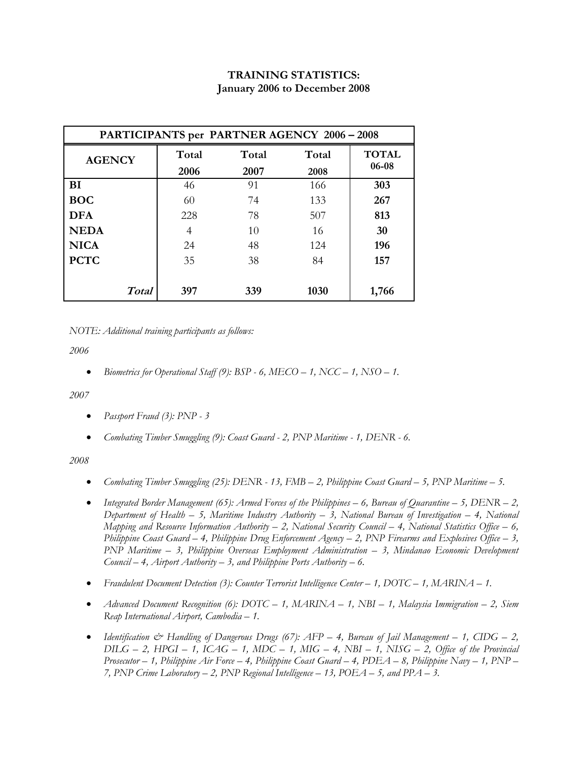#### **TRAINING STATISTICS: January 2006 to December 2008**

| PARTICIPANTS per PARTNER AGENCY 2006 - 2008 |       |       |       |              |  |
|---------------------------------------------|-------|-------|-------|--------------|--|
| <b>AGENCY</b>                               | Total | Total | Total | <b>TOTAL</b> |  |
|                                             | 2006  | 2007  | 2008  | 06-08        |  |
| <b>BI</b>                                   | 46    | 91    | 166   | 303          |  |
| <b>BOC</b>                                  | 60    | 74    | 133   | 267          |  |
| <b>DFA</b>                                  | 228   | 78    | 507   | 813          |  |
| <b>NEDA</b>                                 | 4     | 10    | 16    | 30           |  |
| <b>NICA</b>                                 | 24    | 48    | 124   | 196          |  |
| <b>PCTC</b>                                 | 35    | 38    | 84    | 157          |  |
|                                             |       |       |       |              |  |
| <b>Total</b>                                | 397   | 339   | 1030  | 1,766        |  |

*NOTE: Additional training participants as follows:* 

*2006* 

• *Biometrics for Operational Staff (9): BSP - 6, MECO – 1, NCC – 1, NSO – 1.* 

*2007* 

- *Passport Fraud (3): PNP 3*
- *Combating Timber Smuggling (9): Coast Guard 2, PNP Maritime 1, DENR 6.*

#### *2008*

- *Combating Timber Smuggling (25): DENR 13, FMB 2, Philippine Coast Guard 5, PNP Maritime 5.*
- *Integrated Border Management (65): Armed Forces of the Philippines 6, Bureau of Quarantine 5, DENR 2, Department of Health – 5, Maritime Industry Authority – 3, National Bureau of Investigation – 4, National Mapping and Resource Information Authority – 2, National Security Council – 4, National Statistics Office – 6, Philippine Coast Guard – 4, Philippine Drug Enforcement Agency – 2, PNP Firearms and Explosives Office – 3, PNP Maritime – 3, Philippine Overseas Employment Administration – 3, Mindanao Economic Development Council – 4, Airport Authority – 3, and Philippine Ports Authority – 6.*
- *Fraudulent Document Detection (3): Counter Terrorist Intelligence Center 1, DOTC 1, MARINA 1.*
- *Advanced Document Recognition (6): DOTC 1, MARINA 1, NBI 1, Malaysia Immigration 2, Siem Reap International Airport, Cambodia – 1.*
- *Identification & Handling of Dangerous Drugs (67): AFP 4, Bureau of Jail Management 1, CIDG 2,*   $DILG - 2$ ,  $HPGI - 1$ ,  $ICAG - 1$ ,  $MDC - 1$ ,  $MIG - 4$ ,  $NBI - 1$ ,  $NISG - 2$ , Office of the Provincial *Prosecutor – 1, Philippine Air Force – 4, Philippine Coast Guard – 4, PDEA – 8, Philippine Navy – 1, PNP – 7, PNP Crime Laboratory – 2, PNP Regional Intelligence – 13, POEA – 5, and PPA – 3.*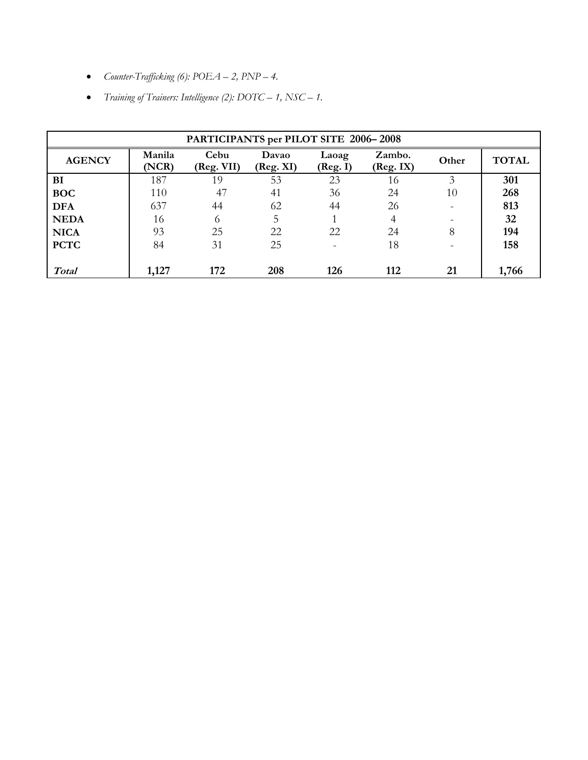- *Counter-Trafficking (6): POEA 2, PNP 4.*
- *Training of Trainers: Intelligence (2): DOTC 1, NSC 1.*

| PARTICIPANTS per PILOT SITE 2006-2008 |                 |                    |                    |                   |                     |       |              |
|---------------------------------------|-----------------|--------------------|--------------------|-------------------|---------------------|-------|--------------|
| <b>AGENCY</b>                         | Manila<br>(NCR) | Cebu<br>(Reg. VII) | Davao<br>(Reg. XI) | Laoag<br>(Reg. I) | Zambo.<br>(Reg. IX) | Other | <b>TOTAL</b> |
| BI                                    | 187             | 19                 | 53                 | 23                | 16                  | 3     | 301          |
| <b>BOC</b>                            | 110             | 47                 | 41                 | 36                | 24                  | 10    | 268          |
| <b>DFA</b>                            | 637             | 44                 | 62                 | 44                | 26                  |       | 813          |
| <b>NEDA</b>                           | 16              | 6                  | 5                  |                   | 4                   |       | 32           |
| <b>NICA</b>                           | 93              | 25                 | 22                 | 22                | 24                  | 8     | 194          |
| <b>PCTC</b>                           | 84              | 31                 | 25                 |                   | 18                  |       | 158          |
|                                       |                 |                    |                    |                   |                     |       |              |
| <b>Total</b>                          | 1,127           | 172                | 208                | 126               | 112                 | 21    | 1,766        |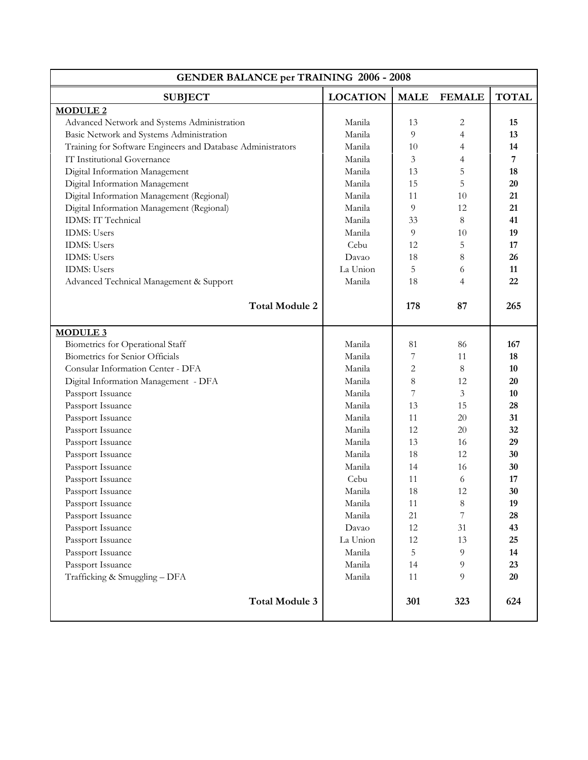| <b>GENDER BALANCE per TRAINING 2006 - 2008</b>              |                 |              |                |              |  |
|-------------------------------------------------------------|-----------------|--------------|----------------|--------------|--|
| <b>SUBJECT</b>                                              | <b>LOCATION</b> | <b>MALE</b>  | <b>FEMALE</b>  | <b>TOTAL</b> |  |
| <b>MODULE 2</b>                                             |                 |              |                |              |  |
| Advanced Network and Systems Administration                 | Manila          | 13           | 2              | 15           |  |
| Basic Network and Systems Administration                    | Manila          | 9            | $\overline{4}$ | 13           |  |
| Training for Software Engineers and Database Administrators | Manila          | 10           | 4              | 14           |  |
| IT Institutional Governance                                 | Manila          | 3            | $\overline{4}$ | 7            |  |
| Digital Information Management                              | Manila          | 13           | 5              | 18           |  |
| Digital Information Management                              | Manila          | 15           | 5              | 20           |  |
| Digital Information Management (Regional)                   | Manila          | 11           | 10             | 21           |  |
| Digital Information Management (Regional)                   | Manila          | 9            | 12             | 21           |  |
| IDMS: IT Technical                                          | Manila          | 33           | 8              | 41           |  |
| <b>IDMS</b> : Users                                         | Manila          | 9            | 10             | 19           |  |
| <b>IDMS</b> : Users                                         | Cebu            | 12           | 5              | 17           |  |
| <b>IDMS</b> : Users                                         | Davao           | 18           | 8              | 26           |  |
| <b>IDMS</b> : Users                                         | La Union        | 5            | 6              | 11           |  |
| Advanced Technical Management & Support                     | Manila          | 18           | $\overline{4}$ | 22           |  |
| <b>Total Module 2</b>                                       |                 |              |                |              |  |
|                                                             |                 | 178          | 87             | 265          |  |
| <b>MODULE 3</b>                                             |                 |              |                |              |  |
| Biometrics for Operational Staff                            | Manila          | 81           | 86             | 167          |  |
| Biometrics for Senior Officials                             | Manila          | 7            | 11             | 18           |  |
| Consular Information Center - DFA                           | Manila          | $\mathbf{2}$ | 8              | 10           |  |
| Digital Information Management - DFA                        | Manila          | 8            | 12             | 20           |  |
| Passport Issuance                                           | Manila          | 7            | 3              | 10           |  |
| Passport Issuance                                           | Manila          | 13           | 15             | 28           |  |
| Passport Issuance                                           | Manila          | 11           | 20             | 31           |  |
| Passport Issuance                                           | Manila          | 12           | 20             | 32           |  |
| Passport Issuance                                           | Manila          | 13           | 16             | 29           |  |
| Passport Issuance                                           | Manila          | 18           | 12             | 30           |  |
| Passport Issuance                                           | Manila          | 14           | 16             | 30           |  |
| Passport Issuance                                           | Cebu            | 11           | 6              | 17           |  |
| Passport Issuance                                           | Manila          | 18           | 12             | 30           |  |
| Passport Issuance                                           | Manila          | 11           | $\,8\,$        | 19           |  |
| Passport Issuance                                           | Manila          | 21           | 7              | 28           |  |
| Passport Issuance                                           | Davao           | 12           | 31             | 43           |  |
| Passport Issuance                                           | La Union        | 12           | 13             | 25           |  |
| Passport Issuance                                           | Manila          | 5            | 9              | 14           |  |
| Passport Issuance                                           | Manila          | 14           | 9              | 23           |  |
| Trafficking & Smuggling - DFA                               | Manila          | 11           | 9              | 20           |  |
| <b>Total Module 3</b>                                       |                 | 301          | 323            | 624          |  |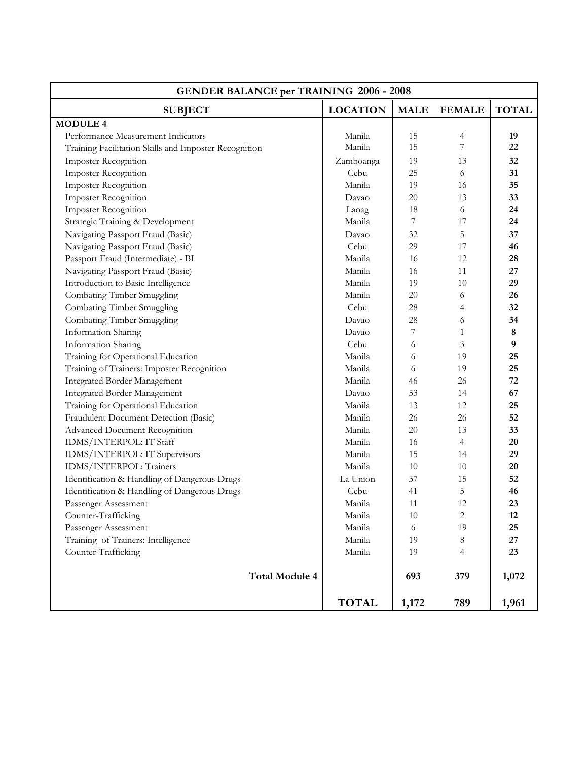| <b>GENDER BALANCE per TRAINING 2006 - 2008</b>        |                 |                          |                |              |  |  |
|-------------------------------------------------------|-----------------|--------------------------|----------------|--------------|--|--|
| <b>SUBJECT</b>                                        | <b>LOCATION</b> | <b>MALE</b>              | <b>FEMALE</b>  | <b>TOTAL</b> |  |  |
| <b>MODULE 4</b>                                       |                 |                          |                |              |  |  |
| Performance Measurement Indicators                    | Manila          | 15                       | 4              | 19           |  |  |
| Training Facilitation Skills and Imposter Recognition | Manila          | 15                       | $\overline{7}$ | 22           |  |  |
| <b>Imposter Recognition</b>                           | Zamboanga       | 19                       | 13             | 32           |  |  |
| Imposter Recognition                                  | Cebu            | 25                       | 6              | 31           |  |  |
| Imposter Recognition                                  | Manila          | 19                       | 16             | 35           |  |  |
| Imposter Recognition                                  | Davao           | 20                       | 13             | 33           |  |  |
| Imposter Recognition                                  | Laoag           | 18                       | 6              | 24           |  |  |
| Strategic Training & Development                      | Manila          | 7                        | 17             | 24           |  |  |
| Navigating Passport Fraud (Basic)                     | Davao           | 32                       | 5              | 37           |  |  |
| Navigating Passport Fraud (Basic)                     | Cebu            | 29                       | 17             | 46           |  |  |
| Passport Fraud (Intermediate) - BI                    | Manila          | 16                       | 12             | 28           |  |  |
| Navigating Passport Fraud (Basic)                     | Manila          | 16                       | 11             | 27           |  |  |
| Introduction to Basic Intelligence                    | Manila          | 19                       | 10             | 29           |  |  |
| Combating Timber Smuggling                            | Manila          | 20                       | 6              | 26           |  |  |
| Combating Timber Smuggling                            | Cebu            | 28                       | 4              | 32           |  |  |
| Combating Timber Smuggling                            | Davao           | 28                       | 6              | 34           |  |  |
| Information Sharing                                   | Davao           | $\overline{\phantom{a}}$ | $\mathbf{1}$   | 8            |  |  |
| Information Sharing                                   | Cebu            | 6                        | 3              | 9            |  |  |
| Training for Operational Education                    | Manila          | 6                        | 19             | 25           |  |  |
| Training of Trainers: Imposter Recognition            | Manila          | 6                        | 19             | 25           |  |  |
| <b>Integrated Border Management</b>                   | Manila          | 46                       | 26             | 72           |  |  |
| <b>Integrated Border Management</b>                   | Davao           | 53                       | 14             | 67           |  |  |
| Training for Operational Education                    | Manila          | 13                       | 12             | 25           |  |  |
| Fraudulent Document Detection (Basic)                 | Manila          | 26                       | 26             | 52           |  |  |
| <b>Advanced Document Recognition</b>                  | Manila          | 20                       | 13             | 33           |  |  |
| IDMS/INTERPOL: IT Staff                               | Manila          | 16                       | $\overline{4}$ | 20           |  |  |
| IDMS/INTERPOL: IT Supervisors                         | Manila          | 15                       | 14             | 29           |  |  |
| IDMS/INTERPOL: Trainers                               | Manila          | 10                       | 10             | 20           |  |  |
| Identification & Handling of Dangerous Drugs          | La Union        | 37                       | 15             | 52           |  |  |
| Identification & Handling of Dangerous Drugs          | Cebu            | 41                       | 5              | 46           |  |  |
| Passenger Assessment                                  | Manila          | 11                       | 12             | 23           |  |  |
| Counter-Trafficking                                   | Manila          | $10\,$                   | 2              | 12           |  |  |
| Passenger Assessment                                  | Manila          | 6                        | 19             | 25           |  |  |
| Training of Trainers: Intelligence                    | Manila          | 19                       | $\,8\,$        | 27           |  |  |
| Counter-Trafficking                                   | Manila          | 19                       | 4              | 23           |  |  |
| <b>Total Module 4</b>                                 |                 | 693                      | 379            | 1,072        |  |  |
|                                                       | <b>TOTAL</b>    | 1,172                    | 789            | 1,961        |  |  |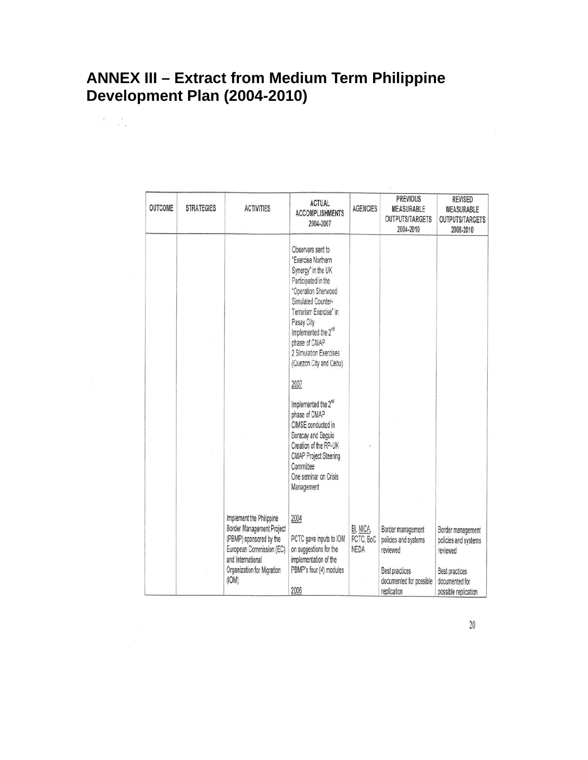### <span id="page-27-0"></span>**ANNEX III – Extract from Medium Term Philippine Development Plan (2004-2010)**

 $\mathcal{E}=\mathcal{E}$  .

| OUTCOME | <b>STRATEGIES</b> | <b>ACTIVITIES</b>                                                                                                                                                        | <b>ACTUAL</b><br><b>ACCOMPLISHMENTS</b><br>2004-2007                                                                                                                                                                                                                              | <b>AGENCIES</b>                | <b>PREVIOUS</b><br>MEASURABLE<br><b>OUTPUTS/TARGETS</b><br>2004-2010                                              | <b>REVISED</b><br>MEASURABLE<br><b>OUTPUTS/TARGETS</b><br>2008-2010                                               |
|---------|-------------------|--------------------------------------------------------------------------------------------------------------------------------------------------------------------------|-----------------------------------------------------------------------------------------------------------------------------------------------------------------------------------------------------------------------------------------------------------------------------------|--------------------------------|-------------------------------------------------------------------------------------------------------------------|-------------------------------------------------------------------------------------------------------------------|
|         |                   |                                                                                                                                                                          | Observers sent to<br>"Exercise Northern<br>Synergy" in the UK<br>Participated in the<br>"Operation Sherwood<br>Simulated Counter-<br>Terrorism Exercise" in<br>Pasay City<br>Implemented the 2 <sup>nd</sup><br>phase of CMAP<br>2 Simulation Exercises<br>(Quezon City and Cebu) |                                |                                                                                                                   |                                                                                                                   |
|         |                   |                                                                                                                                                                          | 2007                                                                                                                                                                                                                                                                              |                                |                                                                                                                   |                                                                                                                   |
|         |                   |                                                                                                                                                                          | Implemented the 2 <sup>nd</sup><br>phase of CMAP<br>CIMSE conducted in<br>Boracay and Baguio<br>Creation of the RP-UK<br><b>CMAP Project Steering</b><br>Committee<br>One seminar on Crisis<br>Management                                                                         |                                |                                                                                                                   |                                                                                                                   |
|         |                   | Implement the Philippine<br>Border Management Project<br>(PBMP) sponsored by the<br>European Commission (EC)<br>and International<br>Organization for Migration<br>(IOM) | 2004<br>PCTC gave inputs to IOM<br>on suggestions for the<br>implementation of the<br>PBMP's four (4) modules<br>2006                                                                                                                                                             | BI, NICA,<br>PCTC, BoC<br>NEDA | Border management<br>policies and systems<br>reviewed<br>Best practices<br>documented for possible<br>replication | Border management<br>policies and systems<br>reviewed<br>Best practices<br>documented for<br>possible replication |